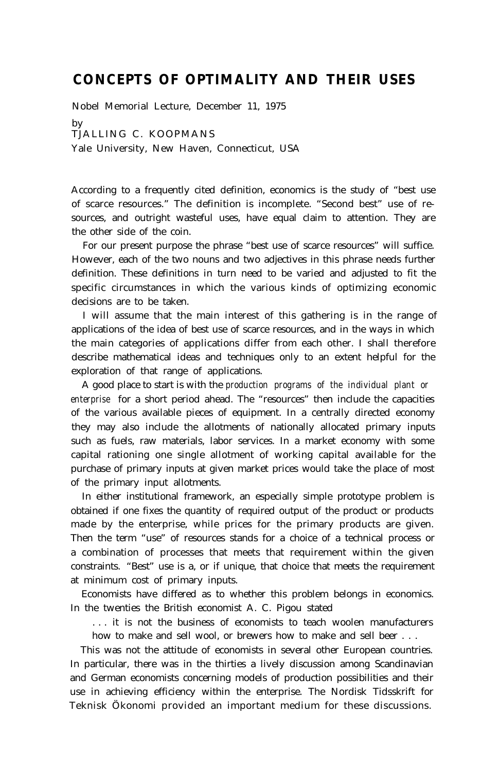## **CONCEPTS OF OPTIMALITY AND THEIR USES**

Nobel Memorial Lecture, December 11, 1975 by TJALLING C. KOOPMANS Yale University, New Haven, Connecticut, USA

According to a frequently cited definition, economics is the study of "best use of scarce resources." The definition is incomplete. "Second best" use of resources, and outright wasteful uses, have equal claim to attention. They are the other side of the coin.

For our present purpose the phrase "best use of scarce resources" will suffice. However, each of the two nouns and two adjectives in this phrase needs further definition. These definitions in turn need to be varied and adjusted to fit the specific circumstances in which the various kinds of optimizing economic decisions are to be taken.

I will assume that the main interest of this gathering is in the range of applications of the idea of best use of scarce resources, and in the ways in which the main categories of applications differ from each other. I shall therefore describe mathematical ideas and techniques only to an extent helpful for the exploration of that range of applications.

A good place to start is with the *production programs of the individual plant or enterprise* for a short period ahead. The "resources" then include the capacities of the various available pieces of equipment. In a centrally directed economy they may also include the allotments of nationally allocated primary inputs such as fuels, raw materials, labor services. In a market economy with some capital rationing one single allotment of working capital available for the purchase of primary inputs at given market prices would take the place of most of the primary input allotments.

In either institutional framework, an especially simple prototype problem is obtained if one fixes the quantity of required output of the product or products made by the enterprise, while prices for the primary products are given. Then the term "use" of resources stands for a choice of a technical process or a combination of processes that meets that requirement within the given constraints. "Best" use is a, or if unique, that choice that meets the requirement at minimum cost of primary inputs.

Economists have differed as to whether this problem belongs in economics. In the twenties the British economist A. C. Pigou stated

. . . it is not the business of economists to teach woolen manufacturers how to make and sell wool, or brewers how to make and sell beer . . .

This was not the attitude of economists in several other European countries. In particular, there was in the thirties a lively discussion among Scandinavian and German economists concerning models of production possibilities and their use in achieving efficiency within the enterprise. The Nordisk Tidsskrift for Teknisk Ökonomi provided an important medium for these discussions.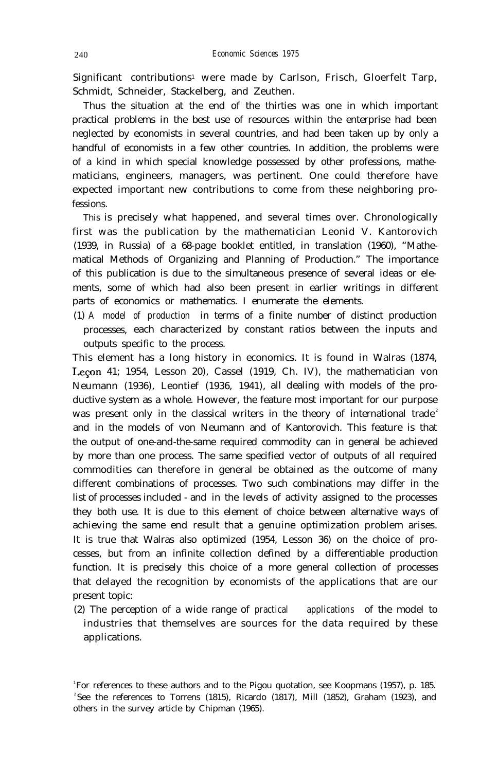Significant contributions<sup>1</sup> were made by Carlson, Frisch, Gloerfelt Tarp, Schmidt, Schneider, Stackelberg, and Zeuthen.

Thus the situation at the end of the thirties was one in which important practical problems in the best use of resources within the enterprise had been neglected by economists in several countries, and had been taken up by only a handful of economists in a few other countries. In addition, the problems were of a kind in which special knowledge possessed by other professions, mathematicians, engineers, managers, was pertinent. One could therefore have expected important new contributions to come from these neighboring professions.

This is precisely what happened, and several times over. Chronologically first was the publication by the mathematician Leonid V. Kantorovich (1939, in Russia) of a 68-page booklet entitled, in translation (1960), "Mathematical Methods of Organizing and Planning of Production." The importance of this publication is due to the simultaneous presence of several ideas or elements, some of which had also been present in earlier writings in different parts of economics or mathematics. I enumerate the elements.

(1) *A model of production* in terms of a finite number of distinct production processes, each characterized by constant ratios between the inputs and outputs specific to the process.

This element has a long history in economics. It is found in Walras (1874, Lecon 41; 1954, Lesson 20), Cassel (1919, Ch. IV), the mathematician von Neumann (1936), Leontief (1936, 1941), all dealing with models of the productive system as a whole. However, the feature most important for our purpose was present only in the classical writers in the theory of international trade<sup>2</sup> and in the models of von Neumann and of Kantorovich. This feature is that the output of one-and-the-same required commodity can in general be achieved by more than one process. The same specified vector of outputs of all required commodities can therefore in general be obtained as the outcome of many different combinations of processes. Two such combinations may differ in the list of processes included - and in the levels of activity assigned to the processes they both use. It is due to this element of choice between alternative ways of achieving the same end result that a genuine optimization problem arises. It is true that Walras also optimized (1954, Lesson 36) on the choice of processes, but from an infinite collection defined by a differentiable production function. It is precisely this choice of a more general collection of processes that delayed the recognition by economists of the applications that are our present topic:

(2) The perception of a wide range of *practical applications* of the model to industries that themselves are sources for the data required by these applications.

<sup>1</sup>For references to these authors and to the Pigou quotation, see Koopmans (1957), p. 185.  $2$ See the references to Torrens (1815), Ricardo (1817), Mill (1852), Graham (1923), and others in the survey article by Chipman (1965).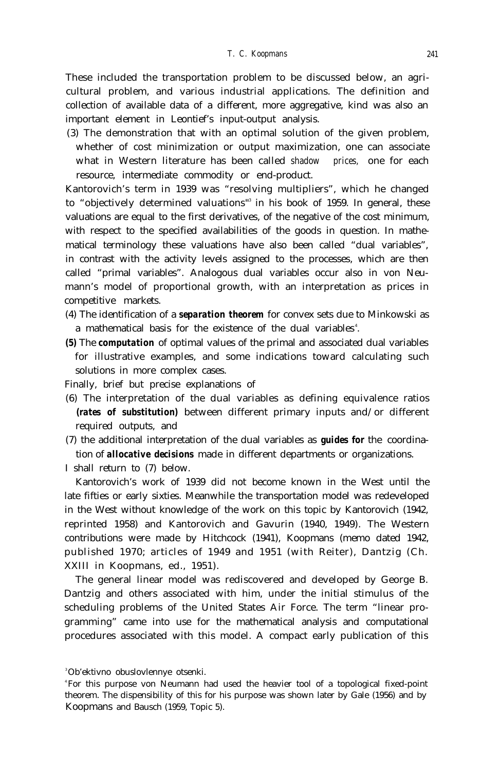These included the transportation problem to be discussed below, an agricultural problem, and various industrial applications. The definition and collection of available data of a different, more aggregative, kind was also an important element in Leontief's input-output analysis.

(3) The demonstration that with an optimal solution of the given problem, whether of cost minimization or output maximization, one can associate what in Western literature has been called *shadow prices,* one for each resource, intermediate commodity or end-product.

Kantorovich's term in 1939 was "resolving multipliers", which he changed to "objectively determined valuations"<sup>3</sup> in his book of 1959. In general, these valuations are equal to the first derivatives, of the negative of the cost minimum, with respect to the specified availabilities of the goods in question. In mathematical terminology these valuations have also been called "dual variables", in contrast with the activity levels assigned to the processes, which are then called "primal variables". Analogous dual variables occur also in von Neumann's model of proportional growth, with an interpretation as prices in competitive markets.

- (4) The identification of a *separation theorem* for convex sets due to Minkowski as a mathematical basis for the existence of the dual variables<sup>4</sup>.
- *(5)* The *computation* of optimal values of the primal and associated dual variables for illustrative examples, and some indications toward calculating such solutions in more complex cases.

Finally, brief but precise explanations of

- (6) The interpretation of the dual variables as defining equivalence ratios *(rates of substitution)* between different primary inputs and/or different required outputs, and
- (7) the additional interpretation of the dual variables as *guides for* the coordination of *allocative decisions* made in different departments or organizations.

I shall return to (7) below.

Kantorovich's work of 1939 did not become known in the West until the late fifties or early sixties. Meanwhile the transportation model was redeveloped in the West without knowledge of the work on this topic by Kantorovich (1942, reprinted 1958) and Kantorovich and Gavurin (1940, 1949). The Western contributions were made by Hitchcock (1941), Koopmans (memo dated 1942, published 1970; articles of 1949 and 1951 (with Reiter), Dantzig (Ch. XXIII in Koopmans, ed., 1951).

The general linear model was rediscovered and developed by George B. Dantzig and others associated with him, under the initial stimulus of the scheduling problems of the United States Air Force. The term "linear programming" came into use for the mathematical analysis and computational procedures associated with this model. A compact early publication of this

<sup>3</sup>Ob'ektivno obuslovlennye otsenki.

<sup>4</sup>For this purpose von Neumann had used the heavier tool of a topological fixed-point theorem. The dispensibility of this for his purpose was shown later by Gale (1956) and by Koopmans and Bausch (1959, Topic 5).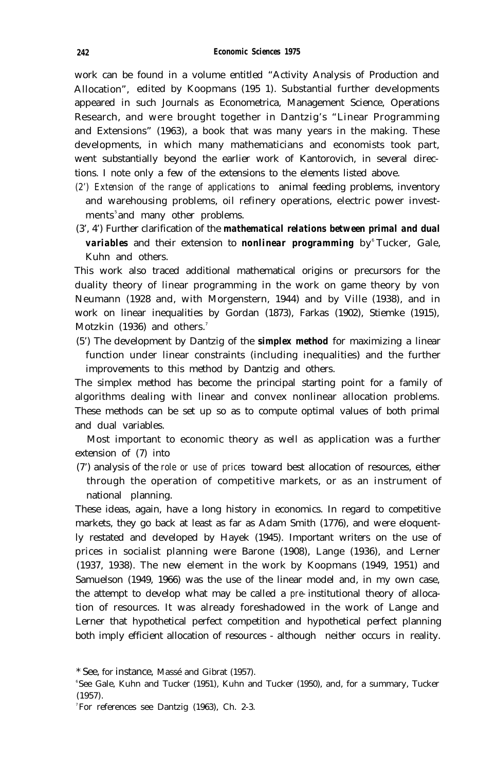work can be found in a volume entitled "Activity Analysis of Production and Allocation", edited by Koopmans (195 1). Substantial further developments appeared in such Journals as Econometrica, Management Science, Operations Research, and were brought together in Dantzig's "Linear Programming and Extensions" (1963), a book that was many years in the making. These developments, in which many mathematicians and economists took part, went substantially beyond the earlier work of Kantorovich, in several directions. I note only a few of the extensions to the elements listed above.

- *(2') Extension of the range of applications* to animal feeding problems, inventory and warehousing problems, oil refinery operations, electric power investments<sup>5</sup> and many other problems.
- (3', 4') Further clarification of the *mathematical relations between primal and dual variables* and their extension to *nonlinear programming* by Tucker, Gale, Kuhn and others.

This work also traced additional mathematical origins or precursors for the duality theory of linear programming in the work on game theory by von Neumann (1928 and, with Morgenstern, 1944) and by Ville (1938), and in work on linear inequalities by Gordan (1873), Farkas (1902), Stiemke (1915), Motzkin (1936) and others.<sup>7</sup>

(5') The development by Dantzig of the *simplex method* for maximizing a linear function under linear constraints (including inequalities) and the further improvements to this method by Dantzig and others.

The simplex method has become the principal starting point for a family of algorithms dealing with linear and convex nonlinear allocation problems. These methods can be set up so as to compute optimal values of both primal and dual variables.

Most important to economic theory as well as application was a further extension of (7) into

(7') analysis of the *role or use of prices* toward best allocation of resources, either through the operation of competitive markets, or as an instrument of national planning.

These ideas, again, have a long history in economics. In regard to competitive markets, they go back at least as far as Adam Smith (1776), and were eloquently restated and developed by Hayek (1945). Important writers on the use of prices in socialist planning were Barone (1908), Lange (1936), and Lerner (1937, 1938). The new element in the work by Koopmans (1949, 1951) and Samuelson (1949, 1966) was the use of the linear model and, in my own case, the attempt to develop what may be called a *pre-* institutional theory of allocation of resources. It was already foreshadowed in the work of Lange and Lerner that hypothetical perfect competition and hypothetical perfect planning both imply efficient allocation of resources - although neither occurs in reality.

<sup>\*</sup> See, for instance, Massé and Gibrat (1957).

<sup>&</sup>lt;sup>6</sup>See Gale, Kuhn and Tucker (1951), Kuhn and Tucker (1950), and, for a summary, Tucker (1957).

<sup>7</sup> For references see Dantzig (1963), Ch. 2-3.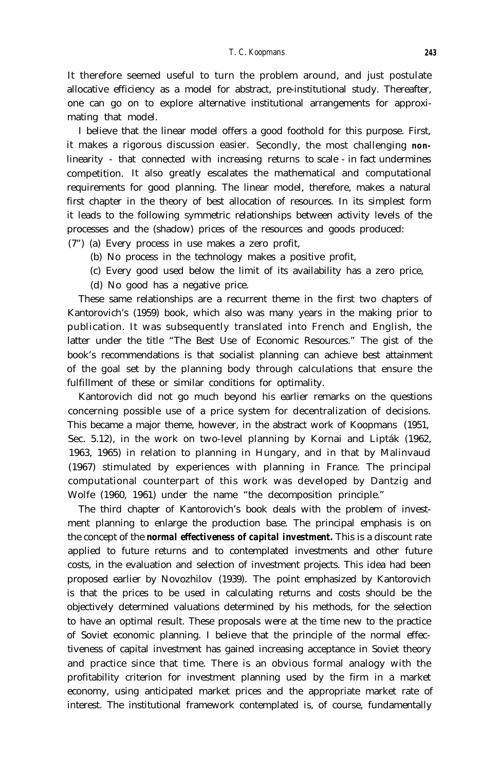It therefore seemed useful to turn the problem around, and just postulate allocative efficiency as a model for abstract, pre-institutional study. Thereafter, one can go on to explore alternative institutional arrangements for approximating that model.

I believe that the linear model offers a good foothold for this purpose. First, it makes a rigorous discussion easier. Secondly, the most challenging *non*linearity - that connected with increasing returns to scale - in fact undermines competition. It also greatly escalates the mathematical and computational requirements for good planning. The linear model, therefore, makes a natural first chapter in the theory of best allocation of resources. In its simplest form it leads to the following symmetric relationships between activity levels of the processes and the (shadow) prices of the resources and goods produced:

- (7") (a) Every process in use makes a zero profit,
	- (b) No process in the technology makes a positive profit,
	- (c) Every good used below the limit of its availability has a zero price,
	- (d) No good has a negative price.

These same relationships are a recurrent theme in the first two chapters of Kantorovich's (1959) book, which also was many years in the making prior to publication. It was subsequently translated into French and English, the latter under the title "The Best Use of Economic Resources." The gist of the book's recommendations is that socialist planning can achieve best attainment of the goal set by the planning body through calculations that ensure the fulfillment of these or similar conditions for optimality.

Kantorovich did not go much beyond his earlier remarks on the questions concerning possible use of a price system for decentralization of decisions. This became a major theme, however, in the abstract work of Koopmans (1951, Sec. 5.12), in the work on two-level planning by Kornai and Lipták (1962, 1963, 1965) in relation to planning in Hungary, and in that by Malinvaud (1967) stimulated by experiences with planning in France. The principal computational counterpart of this work was developed by Dantzig and Wolfe (1960, 1961) under the name "the decomposition principle."

The third chapter of Kantorovich's book deals with the problem of investment planning to enlarge the production base. The principal emphasis is on the concept of the *normal effectiveness of capital investment.* This is a discount rate applied to future returns and to contemplated investments and other future costs, in the evaluation and selection of investment projects. This idea had been proposed earlier by Novozhilov (1939). The point emphasized by Kantorovich is that the prices to be used in calculating returns and costs should be the objectively determined valuations determined by his methods, for the selection to have an optimal result. These proposals were at the time new to the practice of Soviet economic planning. I believe that the principle of the normal effectiveness of capital investment has gained increasing acceptance in Soviet theory and practice since that time. There is an obvious formal analogy with the profitability criterion for investment planning used by the firm in a market economy, using anticipated market prices and the appropriate market rate of interest. The institutional framework contemplated is, of course, fundamentally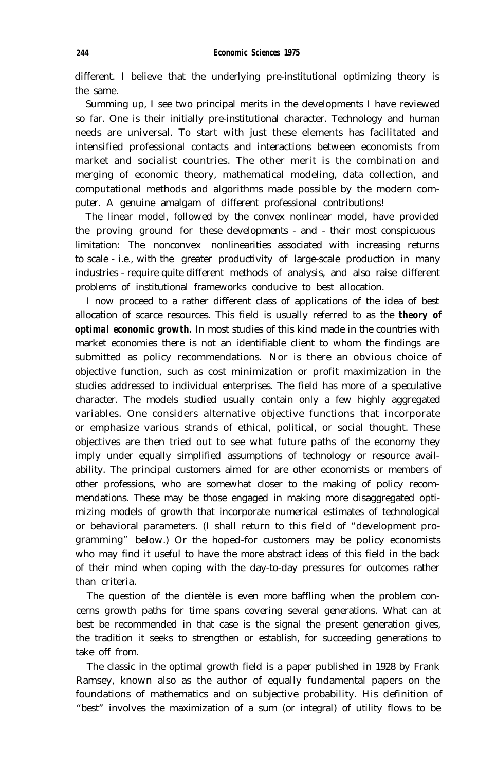different. I believe that the underlying pre-institutional optimizing theory is the same.

Summing up, I see two principal merits in the developments I have reviewed so far. One is their initially pre-institutional character. Technology and human needs are universal. To start with just these elements has facilitated and intensified professional contacts and interactions between economists from market and socialist countries. The other merit is the combination and merging of economic theory, mathematical modeling, data collection, and computational methods and algorithms made possible by the modern computer. A genuine amalgam of different professional contributions!

The linear model, followed by the convex nonlinear model, have provided the proving ground for these developments - and - their most conspicuous limitation: The nonconvex nonlinearities associated with increasing returns to scale - i.e., with the greater productivity of large-scale production in many industries - require quite different methods of analysis, and also raise different problems of institutional frameworks conducive to best allocation.

I now proceed to a rather different class of applications of the idea of best allocation of scarce resources. This field is usually referred to as the *theory of optimal economic growth.* In most studies of this kind made in the countries with market economies there is not an identifiable client to whom the findings are submitted as policy recommendations. Nor is there an obvious choice of objective function, such as cost minimization or profit maximization in the studies addressed to individual enterprises. The field has more of a speculative character. The models studied usually contain only a few highly aggregated variables. One considers alternative objective functions that incorporate or emphasize various strands of ethical, political, or social thought. These objectives are then tried out to see what future paths of the economy they imply under equally simplified assumptions of technology or resource availability. The principal customers aimed for are other economists or members of other professions, who are somewhat closer to the making of policy recommendations. These may be those engaged in making more disaggregated optimizing models of growth that incorporate numerical estimates of technological or behavioral parameters. (I shall return to this field of "development programming" below.) Or the hoped-for customers may be policy economists who may find it useful to have the more abstract ideas of this field in the back of their mind when coping with the day-to-day pressures for outcomes rather than criteria.

The question of the clientèle is even more baffling when the problem concerns growth paths for time spans covering several generations. What can at best be recommended in that case is the signal the present generation gives, the tradition it seeks to strengthen or establish, for succeeding generations to take off from.

The classic in the optimal growth field is a paper published in 1928 by Frank Ramsey, known also as the author of equally fundamental papers on the foundations of mathematics and on subjective probability. His definition of "best" involves the maximization of a sum (or integral) of utility flows to be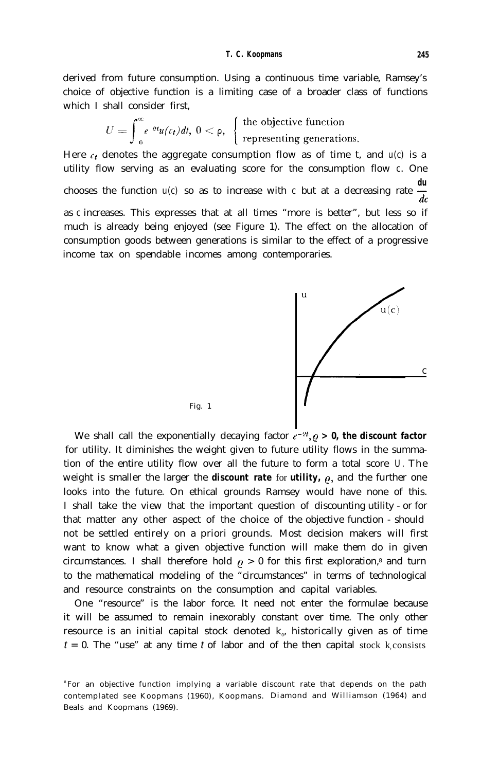derived from future consumption. Using a continuous time variable, Ramsey's choice of objective function is a limiting case of a broader class of functions which I shall consider first,

$$
U = \int_{0}^{\infty} e^{-\alpha t} u(c_t) dt, 0 < \rho, \ \left\{ \begin{array}{c} \text{the objective function} \\ \text{representing generations.} \end{array} \right.
$$

Here  $c_t$  denotes the aggregate consumption flow as of time t, and  $u(c)$  is a utility flow serving as an evaluating score for the consumption flow *c*. One *du* chooses the function  $u(c)$  so as to increase with  $c$  but at a decreasing rate  $\overline{dc}$ as *c* increases. This expresses that at all times "more is better", but less so if much is already being enjoyed (see Figure 1). The effect on the allocation of consumption goods between generations is similar to the effect of a progressive income tax on spendable incomes among contemporaries.



We shall call the exponentially decaying factor  $e^{-\theta t}$ ,  $\rho > 0$ , the discount factor for utility. It diminishes the weight given to future utility flows in the summation of the entire utility flow over all the future to form a total score *U.* The weight is smaller the larger the **discount rate** for **utility**,  $\rho$ , and the further one looks into the future. On ethical grounds Ramsey would have none of this. I shall take the view that the important question of discounting utility - or for that matter any other aspect of the choice of the objective function - should not be settled entirely on a priori grounds. Most decision makers will first want to know what a given objective function will make them do in given circumstances. I shall therefore hold  $\rho > 0$  for this first exploration,<sup>8</sup> and turn to the mathematical modeling of the "circumstances" in terms of technological and resource constraints on the consumption and capital variables.

Fig. 1

One "resource" is the labor force. It need not enter the formulae because it will be assumed to remain inexorably constant over time. The only other resource is an initial capital stock denoted  $\mathbf{k}_v$ , historically given as of time  $t = 0$ . The "use" at any time *t* of labor and of the then capital stock k<sub>r</sub> consists

<sup>&</sup>lt;sup>8</sup>For an objective function implying a variable discount rate that depends on the path contemplated see Koopmans (1960), Koopmans. Diamond and Williamson (1964) and Beals and Koopmans (1969).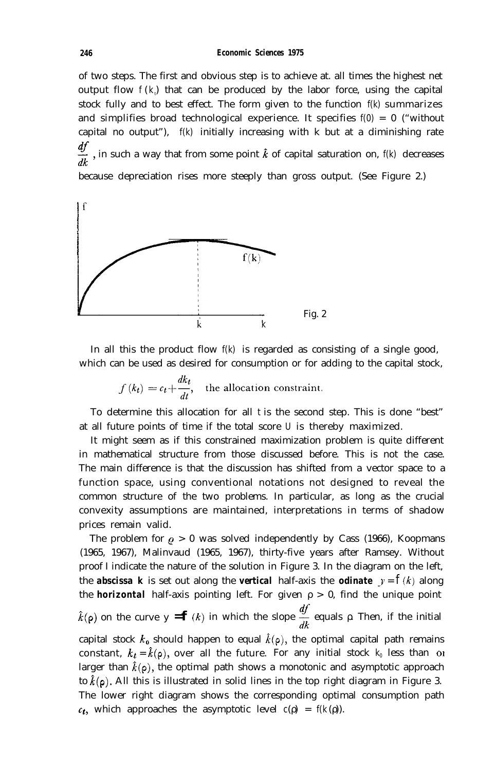of two steps. The first and obvious step is to achieve at. all times the highest net output flow  $f(k)$  that can be produced by the labor force, using the capital stock fully and to best effect. The form given to the function *f(k)* summarizes and simplifies broad technological experience. It specifies  $f(0) = 0$  ("without capital no output"), *f(k)* initially increasing with k but at a diminishing rate  $\frac{df}{dk}$  , in such a way that from some point  $\hat{k}$  of capital saturation on, *f(k)* decreases because depreciation rises more steeply than gross output. (See Figure 2.)

 $f(k)$ Fig. 2 k k

In all this the product flow *f(k)* is regarded as consisting of a single good, which can be used as desired for consumption or for adding to the capital stock,

$$
f(k_t) = c_t + \frac{dk_t}{dt}
$$
, the allocation constraint.

To determine this allocation for all *t* is the second step. This is done "best" at all future points of time if the total score *U* is thereby maximized.

It might seem as if this constrained maximization problem is quite different in mathematical structure from those discussed before. This is not the case. The main difference is that the discussion has shifted from a vector space to a function space, using conventional notations not designed to reveal the common structure of the two problems. In particular, as long as the crucial convexity assumptions are maintained, interpretations in terms of shadow prices remain valid.

The problem for  $\rho > 0$  was solved independently by Cass (1966), Koopmans (1965, 1967), Malinvaud (1965, 1967), thirty-five years after Ramsey. Without proof I indicate the nature of the solution in Figure 3. In the diagram on the left, the **abscissa k** is set out along the **vertical** half-axis the *odinate*  $y = f(k)$  along the *horizontal* half-axis pointing left. For given ρ > 0, find the unique point  $\hat{k}(\rho)$  on the curve  $y = f(k)$  in which the slope  $\frac{df}{dt}$  equals  $\rho$  Then, if the initial capital stock  $k_0$  should happen to equal  $\hat{k}(\rho)$ , the optimal capital path remains constant,  $k_t = \hat{k}(\rho)$ , over all the future. For any initial stock  $k_0$  less than  $\Omega$ larger than  $\hat{k}(\rho)$ , the optimal path shows a monotonic and asymptotic approach to  $\hat{k}(\rho)$ . All this is illustrated in solid lines in the top right diagram in Figure 3. The lower right diagram shows the corresponding optimal consumption path  $c_t$ , which approaches the asymptotic level  $c(\rho) = f(k(\rho)).$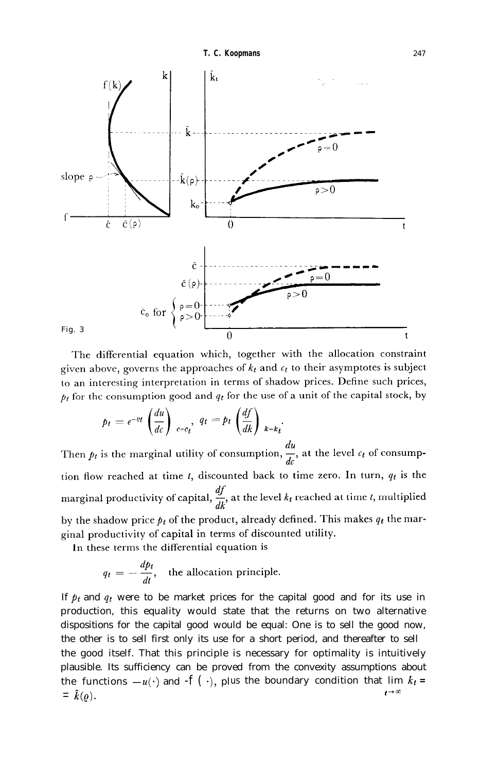

The differential equation which, together with the allocation constraint given above, governs the approaches of  $k_t$  and  $c_t$  to their asymptotes is subject to an interesting interpretation in terms of shadow prices. Define such prices,  $p_t$  for the consumption good and  $q_t$  for the use of a unit of the capital stock, by

$$
p_t = e^{-\alpha t} \left(\frac{du}{dc}\right)_{c=c_t}, \ q_t = p_t \left(\frac{df}{dk}\right)_{k=k_t}
$$

Then  $p_t$  is the marginal utility of consumption,  $\frac{du}{dt}$ , at the level  $c_t$  of consumption flow reached at time  $t$ , discounted back to time zero. In turn,  $q_t$  is the marginal productivity of capital,  $\frac{df}{dt}$ , at the level  $k_t$  reached at time t, multiplied by the shadow price  $p_t$  of the product, already defined. This makes  $q_t$  the marginal productivity of capital in terms of discounted utility.

In these terms the differential equation is

$$
q_t = -\frac{dp_t}{dt}
$$
, the allocation principle.

If  $p_t$  and  $q_t$  were to be market prices for the capital good and for its use in production, this equality would state that the returns on two alternative dispositions for the capital good would be equal: One is to sell the good now, the other is to sell first only its use for a short period, and thereafter to sell the good itself. That this principle is necessary for optimality is intuitively plausible. Its sufficiency can be proved from the convexity assumptions about the functions  $-u(\cdot)$  and *-f*  $(\cdot)$ , plus the boundary condition that lim  $k_t$  =  $= \hat{k}(\varrho).$  *t*+ $\alpha$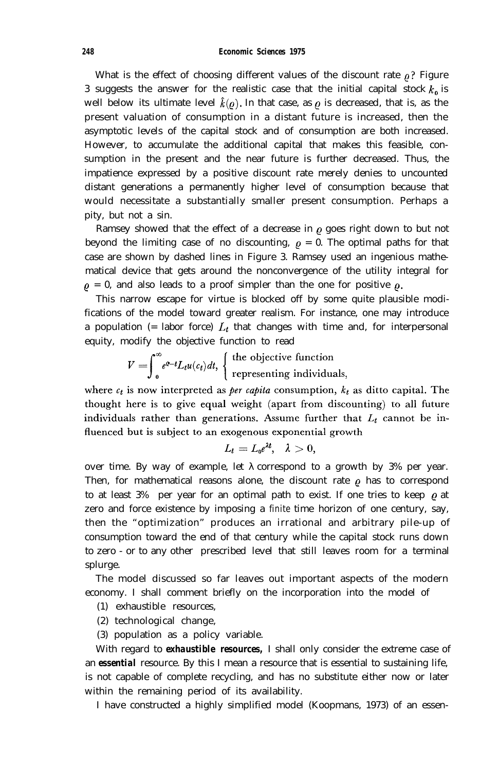What is the effect of choosing different values of the discount rate  $\rho$ ? Figure 3 suggests the answer for the realistic case that the initial capital stock  $k_0$  is well below its ultimate level  $\hat{k}(\rho)$ . In that case, as  $\rho$  is decreased, that is, as the present valuation of consumption in a distant future is increased, then the asymptotic levels of the capital stock and of consumption are both increased. However, to accumulate the additional capital that makes this feasible, consumption in the present and the near future is further decreased. Thus, the impatience expressed by a positive discount rate merely denies to uncounted distant generations a permanently higher level of consumption because that would necessitate a substantially smaller present consumption. Perhaps a pity, but not a sin.

Ramsey showed that the effect of a decrease in  $\rho$  goes right down to but not beyond the limiting case of no discounting,  $\rho = 0$ . The optimal paths for that case are shown by dashed lines in Figure 3. Ramsey used an ingenious mathematical device that gets around the nonconvergence of the utility integral for  $\rho = 0$ , and also leads to a proof simpler than the one for positive  $\rho$ .

This narrow escape for virtue is blocked off by some quite plausible modifications of the model toward greater realism. For instance, one may introduce a population  $(=$  labor force)  $L_t$  that changes with time and, for interpersonal equity, modify the objective function to read

$$
V = \int_0^\infty e^{\alpha - t} L_t u(c_t) dt
$$
, { the objective function  
representing individuals,

where  $c_t$  is now interpreted as *per capita* consumption,  $k_t$  as ditto capital. The thought here is to give equal weight (apart from discounting) to all future individuals rather than generations. Assume further that  $L_t$  cannot be influenced but is subject to an exogenous exponential growth

$$
L_t = L_0 e^{\lambda t}, \quad \lambda > 0,
$$

over time. By way of example, let  $\lambda$  correspond to a growth by 3% per year. Then, for mathematical reasons alone, the discount rate  $\rho$  has to correspond to at least 3% per year for an optimal path to exist. If one tries to keep  $\rho$  at zero and force existence by imposing a *finite* time horizon of one century, say, then the "optimization" produces an irrational and arbitrary pile-up of consumption toward the end of that century while the capital stock runs down to zero - or to any other prescribed level that still leaves room for a terminal splurge.

The model discussed so far leaves out important aspects of the modern economy. I shall comment briefly on the incorporation into the model of

- (1) exhaustible resources,
- (2) technological change,
- (3) population as a policy variable.

With regard to *exhaustible resources,* I shall only consider the extreme case of an *essential* resource. By this I mean a resource that is essential to sustaining life, is not capable of complete recycling, and has no substitute either now or later within the remaining period of its availability.

I have constructed a highly simplified model (Koopmans, 1973) of an essen-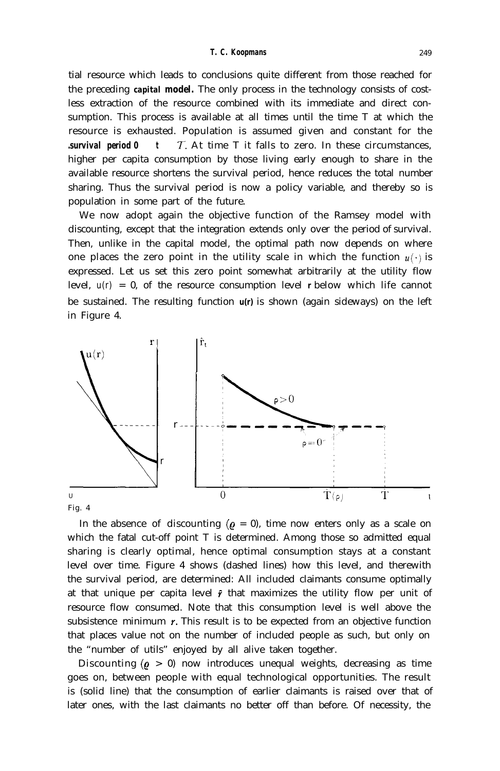tial resource which leads to conclusions quite different from those reached for the preceding *capital model.* The only process in the technology consists of costless extraction of the resource combined with its immediate and direct consumption. This process is available at all times until the time T at which the resource is exhausted. Population is assumed given and constant for the *.survival period 0 <sup>t</sup>* 7. At time T it falls to zero. In these circumstances, higher per capita consumption by those living early enough to share in the available resource shortens the survival period, hence reduces the total number sharing. Thus the survival period is now a policy variable, and thereby so is population in some part of the future.

We now adopt again the objective function of the Ramsey model with discounting, except that the integration extends only over the period of survival. Then, unlike in the capital model, the optimal path now depends on where one places the zero point in the utility scale in which the function  $u(\cdot)$  is expressed. Let us set this zero point somewhat arbitrarily at the utility flow level,  $u(r) = 0$ , of the resource consumption level **r** below which life cannot be sustained. The resulting function *u(r)* is shown (again sideways) on the left in Figure 4.



In the absence of discounting ( $\rho = 0$ ), time now enters only as a scale on which the fatal cut-off point T is determined. Among those so admitted equal sharing is clearly optimal, hence optimal consumption stays at a constant level over time. Figure 4 shows (dashed lines) how this level, and therewith the survival period, are determined: All included claimants consume optimally at that unique per capita level  $\hat{r}$  that maximizes the utility flow per unit of resource flow consumed. Note that this consumption level is well above the subsistence minimum  $r$ . This result is to be expected from an objective function that places value not on the number of included people as such, but only on the "number of utils" enjoyed by all alive taken together.

Discounting ( $\rho > 0$ ) now introduces unequal weights, decreasing as time goes on, between people with equal technological opportunities. The result is (solid line) that the consumption of earlier claimants is raised over that of later ones, with the last claimants no better off than before. Of necessity, the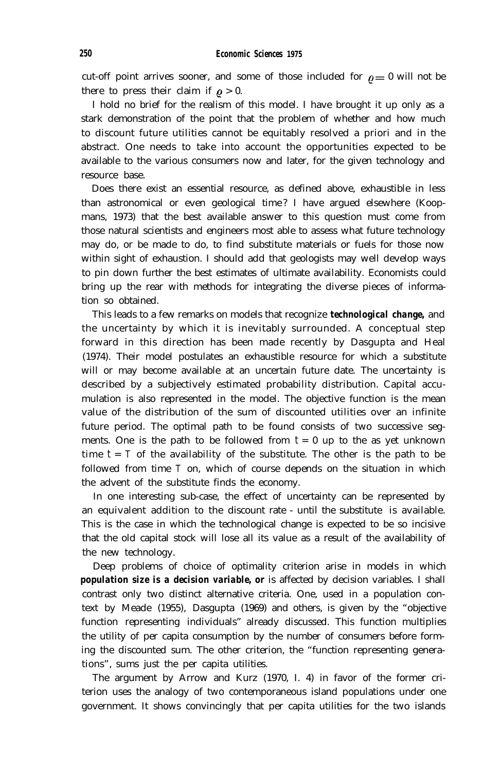cut-off point arrives sooner, and some of those included for  $\rho = 0$  will not be there to press their claim if  $\rho > 0$ .

I hold no brief for the realism of this model. I have brought it up only as a stark demonstration of the point that the problem of whether and how much to discount future utilities cannot be equitably resolved a priori and in the abstract. One needs to take into account the opportunities expected to be available to the various consumers now and later, for the given technology and resource base.

Does there exist an essential resource, as defined above, exhaustible in less than astronomical or even geological time ? I have argued elsewhere (Koopmans, 1973) that the best available answer to this question must come from those natural scientists and engineers most able to assess what future technology may do, or be made to do, to find substitute materials or fuels for those now within sight of exhaustion. I should add that geologists may well develop ways to pin down further the best estimates of ultimate availability. Economists could bring up the rear with methods for integrating the diverse pieces of information so obtained.

This leads to a few remarks on models that recognize *technological change,* and the uncertainty by which it is inevitably surrounded. A conceptual step forward in this direction has been made recently by Dasgupta and Heal (1974). Their model postulates an exhaustible resource for which a substitute will or may become available at an uncertain future date. The uncertainty is described by a subjectively estimated probability distribution. Capital accumulation is also represented in the model. The objective function is the mean value of the distribution of the sum of discounted utilities over an infinite future period. The optimal path to be found consists of two successive segments. One is the path to be followed from  $t = 0$  up to the as yet unknown time  $t = T$  of the availability of the substitute. The other is the path to be followed from time *T* on, which of course depends on the situation in which the advent of the substitute finds the economy.

In one interesting sub-case, the effect of uncertainty can be represented by an equivalent addition to the discount rate - until the substitute is available. This is the case in which the technological change is expected to be so incisive that the old capital stock will lose all its value as a result of the availability of the new technology.

Deep problems of choice of optimality criterion arise in models in which *population size is a decision variable, or* is affected by decision variables. I shall contrast only two distinct alternative criteria. One, used in a population context by Meade (1955), Dasgupta (1969) and others, is given by the "objective function representing individuals" already discussed. This function multiplies the utility of per capita consumption by the number of consumers before forming the discounted sum. The other criterion, the "function representing generations", sums just the per capita utilities.

The argument by Arrow and Kurz (1970, I. 4) in favor of the former criterion uses the analogy of two contemporaneous island populations under one government. It shows convincingly that per capita utilities for the two islands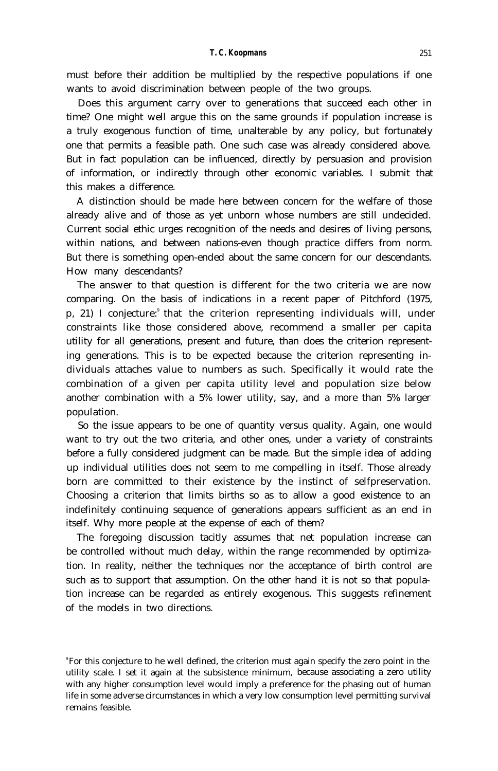## *T. C. Koopmans* 251

must before their addition be multiplied by the respective populations if one wants to avoid discrimination between people of the two groups.

Does this argument carry over to generations that succeed each other in time? One might well argue this on the same grounds if population increase is a truly exogenous function of time, unalterable by any policy, but fortunately one that permits a feasible path. One such case was already considered above. But in fact population can be influenced, directly by persuasion and provision of information, or indirectly through other economic variables. I submit that this makes a difference.

A distinction should be made here between concern for the welfare of those already alive and of those as yet unborn whose numbers are still undecided. Current social ethic urges recognition of the needs and desires of living persons, within nations, and between nations-even though practice differs from norm. But there is something open-ended about the same concern for our descendants. How many descendants?

The answer to that question is different for the two criteria we are now comparing. On the basis of indications in a recent paper of Pitchford (1975, p, 21) I conjecture: that the criterion representing individuals will, under constraints like those considered above, recommend a smaller per capita utility for all generations, present and future, than does the criterion representing generations. This is to be expected because the criterion representing individuals attaches value to numbers as such. Specifically it would rate the combination of a given per capita utility level and population size below another combination with a 5% lower utility, say, and a more than 5% larger population.

So the issue appears to be one of quantity versus quality. Again, one would want to try out the two criteria, and other ones, under a variety of constraints before a fully considered judgment can be made. But the simple idea of adding up individual utilities does not seem to me compelling in itself. Those already born are committed to their existence by the instinct of selfpreservation. Choosing a criterion that limits births so as to allow a good existence to an indefinitely continuing sequence of generations appears sufficient as an end in itself. Why more people at the expense of each of them?

The foregoing discussion tacitly assumes that net population increase can be controlled without much delay, within the range recommended by optimization. In reality, neither the techniques nor the acceptance of birth control are such as to support that assumption. On the other hand it is not so that population increase can be regarded as entirely exogenous. This suggests refinement of the models in two directions.

<sup>&</sup>lt;sup>9</sup>For this conjecture to he well defined, the criterion must again specify the zero point in the utility scale. I set it again at the subsistence minimum, because associating a zero utility with any higher consumption level would imply a preference for the phasing out of human life in some adverse circumstances in which a very low consumption level permitting survival remains feasible.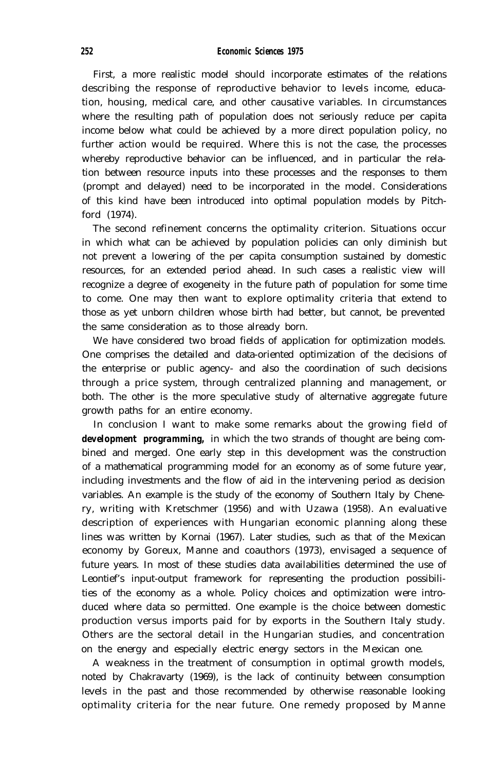First, a more realistic model should incorporate estimates of the relations describing the response of reproductive behavior to levels income, education, housing, medical care, and other causative variables. In circumstances where the resulting path of population does not seriously reduce per capita income below what could be achieved by a more direct population policy, no further action would be required. Where this is not the case, the processes whereby reproductive behavior can be influenced, and in particular the relation between resource inputs into these processes and the responses to them (prompt and delayed) need to be incorporated in the model. Considerations of this kind have been introduced into optimal population models by Pitchford (1974).

The second refinement concerns the optimality criterion. Situations occur in which what can be achieved by population policies can only diminish but not prevent a lowering of the per capita consumption sustained by domestic resources, for an extended period ahead. In such cases a realistic view will recognize a degree of exogeneity in the future path of population for some time to come. One may then want to explore optimality criteria that extend to those as yet unborn children whose birth had better, but cannot, be prevented the same consideration as to those already born.

We have considered two broad fields of application for optimization models. One comprises the detailed and data-oriented optimization of the decisions of the enterprise or public agency- and also the coordination of such decisions through a price system, through centralized planning and management, or both. The other is the more speculative study of alternative aggregate future growth paths for an entire economy.

In conclusion I want to make some remarks about the growing field of *development programming,* in which the two strands of thought are being combined and merged. One early step in this development was the construction of a mathematical programming model for an economy as of some future year, including investments and the flow of aid in the intervening period as decision variables. An example is the study of the economy of Southern Italy by Chenery, writing with Kretschmer (1956) and with Uzawa (1958). An evaluative description of experiences with Hungarian economic planning along these lines was written by Kornai (1967). Later studies, such as that of the Mexican economy by Goreux, Manne and coauthors (1973), envisaged a sequence of future years. In most of these studies data availabilities determined the use of Leontief's input-output framework for representing the production possibilities of the economy as a whole. Policy choices and optimization were introduced where data so permitted. One example is the choice between domestic production versus imports paid for by exports in the Southern Italy study. Others are the sectoral detail in the Hungarian studies, and concentration on the energy and especially electric energy sectors in the Mexican one.

A weakness in the treatment of consumption in optimal growth models, noted by Chakravarty (1969), is the lack of continuity between consumption levels in the past and those recommended by otherwise reasonable looking optimality criteria for the near future. One remedy proposed by Manne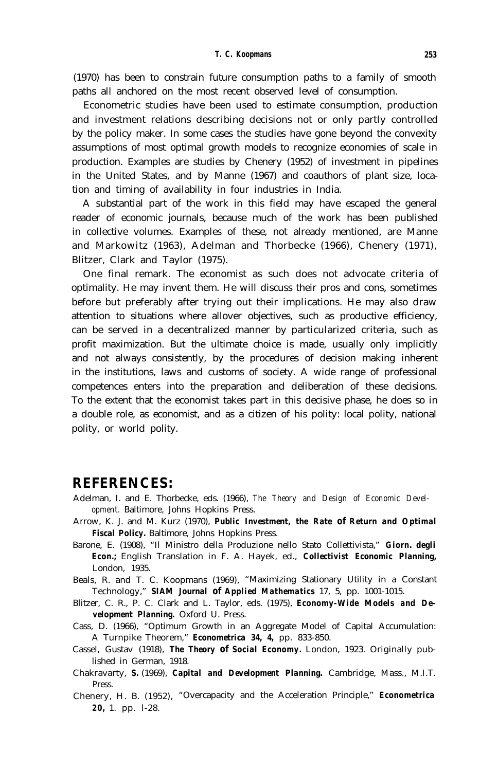(1970) has been to constrain future consumption paths to a family of smooth paths all anchored on the most recent observed level of consumption.

Econometric studies have been used to estimate consumption, production and investment relations describing decisions not or only partly controlled by the policy maker. In some cases the studies have gone beyond the convexity assumptions of most optimal growth models to recognize economies of scale in production. Examples are studies by Chenery (1952) of investment in pipelines in the United States, and by Manne (1967) and coauthors of plant size, location and timing of availability in four industries in India.

A substantial part of the work in this field may have escaped the general reader of economic journals, because much of the work has been published in collective volumes. Examples of these, not already mentioned, are Manne and Markowitz (1963), Adelman and Thorbecke (1966), Chenery (1971), Blitzer, Clark and Taylor (1975).

One final remark. The economist as such does not advocate criteria of optimality. He may invent them. He will discuss their pros and cons, sometimes before but preferably after trying out their implications. He may also draw attention to situations where allover objectives, such as productive efficiency, can be served in a decentralized manner by particularized criteria, such as profit maximization. But the ultimate choice is made, usually only implicitly and not always consistently, by the procedures of decision making inherent in the institutions, laws and customs of society. A wide range of professional competences enters into the preparation and deliberation of these decisions. To the extent that the economist takes part in this decisive phase, he does so in a double role, as economist, and as a citizen of his polity: local polity, national polity, or world polity.

## **REFERENCES:**

- Adelman, I. and E. Thorbecke, eds. (1966), *The Theory and Design of Economic Development.* Baltimore, Johns Hopkins Press.
- Arrow, K. J. and M. Kurz (1970), *Public Investment, the Rate of Return and Optimal Fiscal Policy.* Baltimore, Johns Hopkins Press.
- Barone, E. (1908), "Il Ministro della Produzione nello Stato Collettivista," *Giorn. degli Econ.;* English Translation in F. A. Hayek, ed., *Collectivist Economic Planning,* London, 1935.

Beals, R. and T. C. Koopmans (1969), "Maximizing Stationary Utility in a Constant Technology," *SIAM Journal of Applied Mathematics* 17, 5, pp. 1001-1015.

- Blitzer, C. R., P. C. Clark and L. Taylor, eds. (1975), *Economy-Wide Models and Development Planning.* Oxford U. Press.
- Cass, D. (1966), "Optimum Growth in an Aggregate Model of Capital Accumulation: A Turnpike Theorem," *Econometrica 34, 4,* pp. 833-850.
- Cassel, Gustav (1918), *The Theory of Social Economy.* London, 1923. Originally published in German, 1918.
- Chakravarty, *S.* (1969), *Capital and Development Planning.* Cambridge, Mass., M.I.T. Press.
- Chenery, H. B. (1952), "Overcapacity and the Acceleration Principle," *Econometrica 20,* 1. pp. l-28.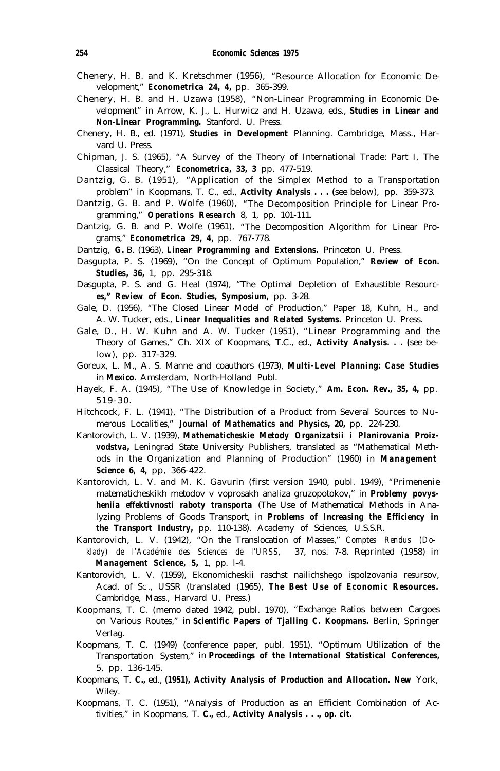- Chenery, H. B. and K. Kretschmer (1956), "Resource Allocation for Economic Development," *Econometrica 24, 4,* pp. 365-399.
- Chenery, H. B. and H. Uzawa (1958), "Non-Linear Programming in Economic Development" in Arrow, K. J., L. Hurwicz and H. Uzawa, eds., *Studies in Linear and Non-Linear Programming.* Stanford. U. Press.
- Chenery, H. B., ed. (1971), *Studies in Development* Planning. Cambridge, Mass., Harvard U. Press.
- Chipman, J. S. (1965), "A Survey of the Theory of International Trade: Part I, The Classical Theory," *Econometrica, 33, 3* pp. 477-519.
- Dantzig, G. B. (1951), "Application of the Simplex Method to a Transportation problem" in Koopmans, T. C., ed., *Activity Analysis . . . (*see below), pp. 359-373.
- Dantzig, G. B. and P. Wolfe (1960), "The Decomposition Principle for Linear Programming," *Operations Research* 8, 1, pp. 101-111.
- Dantzig, G. B. and P. Wolfe (1961), "The Decomposition Algorithm for Linear Programs," *Econometrica 29, 4,* pp. 767-778.
- Dantzig, *G.* B. (1963), *Linear Programming and Extensions.* Princeton U. Press.
- Dasgupta, P. S. (1969), "On the Concept of Optimum Population," *Review of Econ. Studies, 36,* 1, pp. 295-318.
- Dasgupta, P. S. and G. Heal (1974), "The Optimal Depletion of Exhaustible Resourc*es," Review of Econ. Studies, Symposium,* pp. 3-28.
- Gale, D. (1956), "The Closed Linear Model of Production," Paper 18, Kuhn, H., and A. W. Tucker, eds., *Linear Inequalities and Related Systems.* Princeton U. Press.
- Gale, D., H. W. Kuhn and A. W. Tucker (1951), "Linear Programming and the Theory of Games," Ch. XIX of Koopmans, T.C., ed., *Activity Analysis. . . (*see below), pp. 317-329.
- Goreux, L. M., A. S. Manne and coauthors (1973), *Multi-Level Planning: Case Studies* in *Mexico.* Amsterdam, North-Holland Publ.
- Hayek, F. A. (1945), "The Use of Knowledge in Society," *Am. Econ. Rev., 35, 4,* pp. 519-30 .
- Hitchcock, F. L. (1941), "The Distribution of a Product from Several Sources to Numerous Localities," *Journal of Mathematics and Physics, 20,* pp. 224-230.
- Kantorovich, L. V. (1939), *Mathematicheskie Metody Organizatsii i Planirovania Proizvodstva,* Leningrad State University Publishers, translated as "Mathematical Methods in the Organization and Planning of Production" (1960) in *Management Science 6, 4,* pp, 366-422.
- Kantorovich, L. V. and M. K. Gavurin (first version 1940, publ. 1949), "Primenenie matematicheskikh metodov v voprosakh analiza gruzopotokov," in *Problemy povysheniia effektivnosti raboty transporta* (The Use of Mathematical Methods in Analyzing Problems of Goods Transport, in *Problems of Increasing the Efficiency in the Transport Industry,* pp. 110-138). Academy of Sciences, U.S.S.R.
- Kantorovich, L. V. (1942), "On the Translocation of Masses," *Comptes Rendus (Doklady) de l'Académie des Sciences de l'URSS,* 37, nos. 7-8. Reprinted (1958) in *Management Science, 5,* 1, pp. l-4.
- Kantorovich, L. V. (1959), Ekonomicheskii raschst nailichshego ispolzovania resursov, Acad. of SC., USSR (translated (1965), *The Best Use of Economic Resources.* Cambridge, Mass., Harvard U. Press.)
- Koopmans, T. C. (memo dated 1942, publ. 1970), "Exchange Ratios between Cargoes on Various Routes," in *Scientific Papers of Tjalling C. Koopmans.* Berlin, Springer Verlag.
- Koopmans, T. C. (1949) (conference paper, publ. 1951), "Optimum Utilization of the Transportation System," in *Proceedings of the International Statistical Conferences,* 5, pp. 136-145.
- Koopmans, T. *C.,* ed., *(1951), Activity Analysis of Production and Allocation. New* York, Wiley.
- Koopmans, T. C. (1951), "Analysis of Production as an Efficient Combination of Activities," in Koopmans, T. *C.,* ed., *Activity Analysis . . ., op. cit.*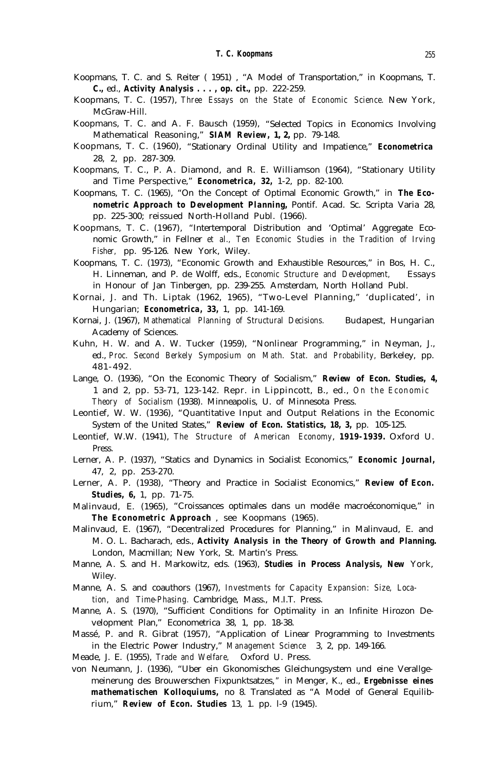- Koopmans, T. C. and S. Reiter ( 1951) , "A Model of Transportation," in Koopmans, T. *C.,* ed., *Activity Analysis . . . , op. cit.,* pp. 222-259.
- Koopmans, T. C. (1957), *Three Essays on the State of Economic Science.* New York, McGraw-Hill.
- Koopmans, T. C. and A. F. Bausch (1959), "Selected Topics in Economics Involving Mathematical Reasoning," *SIAM Review,* **1, 2,** pp. 79-148.
- Koopmans, T. C. (1960), "Stationary Ordinal Utility and Impatience," *Econometrica* 28, 2, pp. 287-309.
- Koopmans, T. C., P. A. Diamond, and R. E. Williamson (1964), "Stationary Utility and Time Perspective," *Econometrica, 32,* 1-2, pp. 82-100.
- Koopmans, T. C. (1965), "On the Concept of Optimal Economic Growth," in *The Econometric Approach to Development Planning,* Pontif. Acad. Sc. Scripta Varia 28, pp. 225-300; reissued North-Holland Publ. (1966).
- Koopmans, T. C. (1967), "Intertemporal Distribution and 'Optimal' Aggregate Economic Growth," in Fellner *et al., Ten Economic Studies in the Tradition of Irving Fisher,* pp. 95-126. New York, Wiley.
- Koopmans, T. C. (1973), "Economic Growth and Exhaustible Resources," in Bos, H. C., H. Linneman, and P. de Wolff, eds., *Economic Structure and Development,* Essays in Honour of Jan Tinbergen, pp. 239-255. Amsterdam, North Holland Publ.
- Kornai, J. and Th. Liptak (1962, 1965), "Two-Level Planning," 'duplicated', in Hungarian; *Econometrica, 33,* 1, pp. 141-169.
- Kornai, J. (1967), *Mathematical Planning of Structural Decisions*. Budapest, Hungarian Academy of Sciences.
- Kuhn, H. W. and A. W. Tucker (1959), "Nonlinear Programming," in Neyman, J., ed., *Proc. Second Berkely Symposium on Math. Stat. and Probability,* Berkeley, pp. 481-492 .
- Lange, O. (1936), "On the Economic Theory of Socialism," *Review of Econ. Studies, 4,* 1 and 2, pp. 53-71, 123-142. Repr. in Lippincott, B., ed., *On the Economic Theory of Socialism* (1938). Minneapolis, U. of Minnesota Press.
- Leontief, W. W. (1936), "Quantitative Input and Output Relations in the Economic System of the United States," *Review of Econ. Statistics, 18, 3,* pp. 105-125.
- Leontief, W.W. (1941), *The Structure of American Economy*, *1919-1939.* Oxford U. Press.
- Lerner, A. P. (1937), "Statics and Dynamics in Socialist Economics," *Economic Journal,* 47, 2, pp. 253-270.
- Lerner, A. P. (1938), "Theory and Practice in Socialist Economics," *Review of Econ. Studies, 6,* 1, pp. 71-75.
- Malinvaud, E. (1965), "Croissances optimales dans un modéle macroéconomique," in *The Econometric Approach* , see Koopmans (1965).
- Malinvaud, E. (1967), "Decentralized Procedures for Planning," in Malinvaud, E. and M. O. L. Bacharach, eds., *Activity Analysis in the Theory of Growth and Planning.* London, Macmillan; New York, St. Martin's Press.
- Manne, A. S. and H. Markowitz, eds. (1963), *Studies in Process Analysis, New* York, Wiley.
- Manne, A. S. and coauthors (1967), *Investments for Capacity Expansion: Size, Location, and Time-Phasing.* Cambridge, Mass., M.I.T. Press.
- Manne, A. S. (1970), "Sufficient Conditions for Optimality in an Infinite Hirozon Development Plan," Econometrica 38, 1, pp. 18-38.
- Massé, P. and R. Gibrat (1957), "Application of Linear Programming to Investments in the Electric Power Industry," *Management Science* 3, 2, pp. 149-166.
- Meade, J. E. (1955), *Trade and Welfare,* Oxford U. Press.
- von Neumann, J. (1936), "Uber ein Gkonomisches Gleichungsystem und eine Verallgemeinerung des Brouwerschen Fixpunktsatzes, " in Menger, K., ed., *Ergebnisse eines mathematischen Kolloquiums,* no 8. Translated as "A Model of General Equilibrium," *Review of Econ. Studies* 13, 1. pp. l-9 (1945).